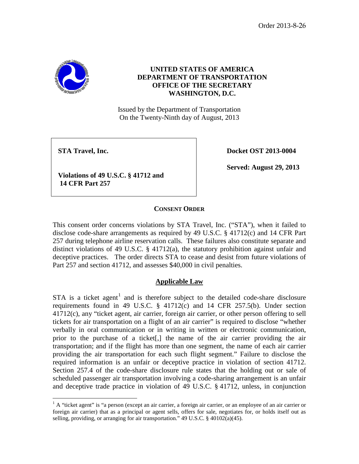Order 2013-8-26



# **UNITED STATES OF AMERICA DEPARTMENT OF TRANSPORTATION OFFICE OF THE SECRETARY WASHINGTON, D.C.**

Issued by the Department of Transportation On the Twenty-Ninth day of August, 2013

**STA** Travel, Inc. **Docket OST** 2013-0004

**Served: August 29, 2013**

**Violations of 49 U.S.C. § 41712 and 14 CFR Part 257**

## **CONSENT ORDER**

This consent order concerns violations by STA Travel, Inc. ("STA"), when it failed to disclose code-share arrangements as required by 49 U.S.C. § 41712(c) and 14 CFR Part 257 during telephone airline reservation calls. These failures also constitute separate and distinct violations of 49 U.S.C.  $\S$  41712(a), the statutory prohibition against unfair and deceptive practices. The order directs STA to cease and desist from future violations of Part 257 and section 41712, and assesses \$40,000 in civil penalties.

## **Applicable Law**

STA is a ticket agent<sup>[1](#page-0-0)</sup> and is therefore subject to the detailed code-share disclosure requirements found in 49 U.S.C. § 41712(c) and 14 CFR 257.5(b). Under section 41712(c), any "ticket agent, air carrier, foreign air carrier, or other person offering to sell tickets for air transportation on a flight of an air carrier" is required to disclose "whether verbally in oral communication or in writing in written or electronic communication, prior to the purchase of a ticket[,] the name of the air carrier providing the air transportation; and if the flight has more than one segment, the name of each air carrier providing the air transportation for each such flight segment." Failure to disclose the required information is an unfair or deceptive practice in violation of section 41712. Section 257.4 of the code-share disclosure rule states that the holding out or sale of scheduled passenger air transportation involving a code-sharing arrangement is an unfair and deceptive trade practice in violation of 49 U.S.C. § 41712, unless, in conjunction

<span id="page-0-0"></span> $<sup>1</sup>$  A "ticket agent" is "a person (except an air carrier, a foreign air carrier, or an employee of an air carrier or</sup> foreign air carrier) that as a principal or agent sells, offers for sale, negotiates for, or holds itself out as selling, providing, or arranging for air transportation." 49 U.S.C. § 40102(a)(45).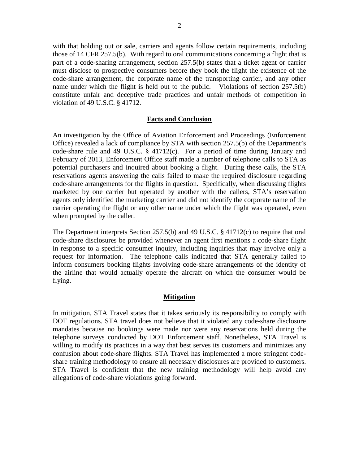with that holding out or sale, carriers and agents follow certain requirements, including those of 14 CFR 257.5(b). With regard to oral communications concerning a flight that is part of a code-sharing arrangement, section 257.5(b) states that a ticket agent or carrier must disclose to prospective consumers before they book the flight the existence of the code-share arrangement, the corporate name of the transporting carrier, and any other name under which the flight is held out to the public. Violations of section 257.5(b) constitute unfair and deceptive trade practices and unfair methods of competition in violation of 49 U.S.C. § 41712.

## **Facts and Conclusion**

An investigation by the Office of Aviation Enforcement and Proceedings (Enforcement Office) revealed a lack of compliance by STA with section 257.5(b) of the Department's code-share rule and 49 U.S.C. § 41712(c). For a period of time during January and February of 2013, Enforcement Office staff made a number of telephone calls to STA as potential purchasers and inquired about booking a flight. During these calls, the STA reservations agents answering the calls failed to make the required disclosure regarding code-share arrangements for the flights in question. Specifically, when discussing flights marketed by one carrier but operated by another with the callers, STA's reservation agents only identified the marketing carrier and did not identify the corporate name of the carrier operating the flight or any other name under which the flight was operated, even when prompted by the caller.

The Department interprets Section 257.5(b) and 49 U.S.C. § 41712(c) to require that oral code-share disclosures be provided whenever an agent first mentions a code-share flight in response to a specific consumer inquiry, including inquiries that may involve only a request for information. The telephone calls indicated that STA generally failed to inform consumers booking flights involving code-share arrangements of the identity of the airline that would actually operate the aircraft on which the consumer would be flying.

### **Mitigation**

In mitigation, STA Travel states that it takes seriously its responsibility to comply with DOT regulations. STA travel does not believe that it violated any code-share disclosure mandates because no bookings were made nor were any reservations held during the telephone surveys conducted by DOT Enforcement staff. Nonetheless, STA Travel is willing to modify its practices in a way that best serves its customers and minimizes any confusion about code-share flights. STA Travel has implemented a more stringent codeshare training methodology to ensure all necessary disclosures are provided to customers. STA Travel is confident that the new training methodology will help avoid any allegations of code-share violations going forward.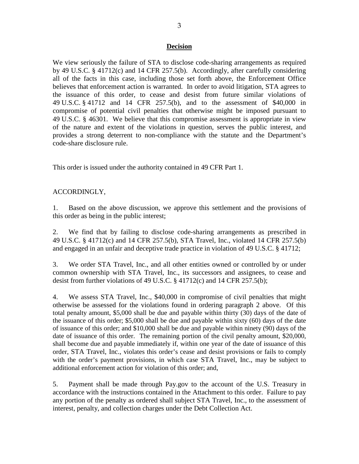### **Decision**

We view seriously the failure of STA to disclose code-sharing arrangements as required by 49 U.S.C. § 41712(c) and 14 CFR 257.5(b). Accordingly, after carefully considering all of the facts in this case, including those set forth above, the Enforcement Office believes that enforcement action is warranted. In order to avoid litigation, STA agrees to the issuance of this order, to cease and desist from future similar violations of 49 U.S.C. § 41712 and 14 CFR 257.5(b), and to the assessment of \$40,000 in compromise of potential civil penalties that otherwise might be imposed pursuant to 49 U.S.C. § 46301. We believe that this compromise assessment is appropriate in view of the nature and extent of the violations in question, serves the public interest, and provides a strong deterrent to non-compliance with the statute and the Department's code-share disclosure rule.

This order is issued under the authority contained in 49 CFR Part 1.

## ACCORDINGLY,

1. Based on the above discussion, we approve this settlement and the provisions of this order as being in the public interest;

2. We find that by failing to disclose code-sharing arrangements as prescribed in 49 U.S.C. § 41712(c) and 14 CFR 257.5(b), STA Travel, Inc., violated 14 CFR 257.5(b) and engaged in an unfair and deceptive trade practice in violation of 49 U.S.C. § 41712;

3. We order STA Travel, Inc., and all other entities owned or controlled by or under common ownership with STA Travel, Inc., its successors and assignees, to cease and desist from further violations of 49 U.S.C. § 41712(c) and 14 CFR 257.5(b);

4. We assess STA Travel, Inc., \$40,000 in compromise of civil penalties that might otherwise be assessed for the violations found in ordering paragraph 2 above. Of this total penalty amount, \$5,000 shall be due and payable within thirty (30) days of the date of the issuance of this order; \$5,000 shall be due and payable within sixty (60) days of the date of issuance of this order; and \$10,000 shall be due and payable within ninety (90) days of the date of issuance of this order. The remaining portion of the civil penalty amount, \$20,000, shall become due and payable immediately if, within one year of the date of issuance of this order, STA Travel, Inc., violates this order's cease and desist provisions or fails to comply with the order's payment provisions, in which case STA Travel, Inc., may be subject to additional enforcement action for violation of this order; and,

5. Payment shall be made through Pay.gov to the account of the U.S. Treasury in accordance with the instructions contained in the Attachment to this order. Failure to pay any portion of the penalty as ordered shall subject STA Travel, Inc., to the assessment of interest, penalty, and collection charges under the Debt Collection Act.